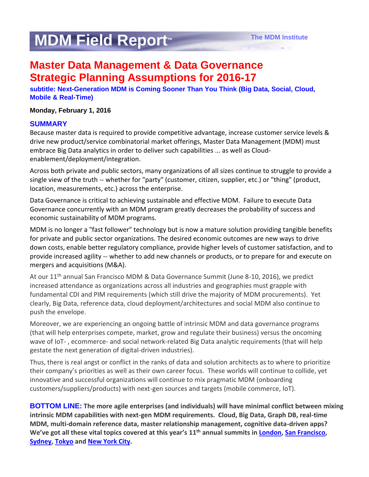# **MDM Field Report™**

*Independent. Authoritative. Relevant.* 

# **Master Data Management & Data Governance Strategic Planning Assumptions for 2016-17**

**subtitle: Next-Generation MDM is Coming Sooner Than You Think (Big Data, Social, Cloud, Mobile & Real-Time)** 

#### **Monday, February 1, 2016**

#### **SUMMARY**

Because master data is required to provide competitive advantage, increase customer service levels & drive new product/service combinatorial market offerings, Master Data Management (MDM) must embrace Big Data analytics in order to deliver such capabilities ... as well as Cloudenablement/deployment/integration.

Across both private and public sectors, many organizations of all sizes continue to struggle to provide a single view of the truth -- whether for "party" (customer, citizen, supplier, etc.) or "thing" (product, location, measurements, etc.) across the enterprise.

Data Governance is critical to achieving sustainable and effective MDM. Failure to execute Data Governance concurrently with an MDM program greatly decreases the probability of success and economic sustainability of MDM programs.

MDM is no longer a "fast follower" technology but is now a mature solution providing tangible benefits for private and public sector organizations. The desired economic outcomes are new ways to drive down costs, enable better regulatory compliance, provide higher levels of customer satisfaction, and to provide increased agility -- whether to add new channels or products, or to prepare for and execute on mergers and acquisitions (M&A).

At our 11<sup>th</sup> annual San Francisco MDM & Data Governance Summit (June 8-10, 2016), we predict increased attendance as organizations across all industries and geographies must grapple with fundamental CDI and PIM requirements (which still drive the majority of MDM procurements). Yet clearly, Big Data, reference data, cloud deployment/architectures and social MDM also continue to push the envelope.

Moreover, we are experiencing an ongoing battle of intrinsic MDM and data governance programs (that will help enterprises compete, market, grow and regulate their business) versus the oncoming wave of IoT- , ecommerce- and social network-related Big Data analytic requirements (that will help gestate the next generation of digital-driven industries).

Thus, there is real angst or conflict in the ranks of data and solution architects as to where to prioritize their company's priorities as well as their own career focus. These worlds will continue to collide, yet innovative and successful organizations will continue to mix pragmatic MDM (onboarding customers/suppliers/products) with next-gen sources and targets (mobile commerce, IoT).

**BOTTOM LINE: The more agile enterprises (and individuals) will have minimal conflict between mixing intrinsic MDM capabilities with next-gen MDM requirements. Cloud, Big Data, Graph DB, real-time MDM, multi-domain reference data, master relationship management, cognitive data-driven apps? We've got all these vital topics covered at this year's 11th annual summits in [London,](http://www.irmuk.co.uk/mdm2016/) [San Francisco,](http://www.information-management.com/conferences/mdmsanfrancisco) [Sydney,](http://www.enterpriseiq.com.au/mdm-a-dg-apac) [Tokyo](http://ac.nikkeibp.co.jp/nc/mdm13/) and [New York City.](http://www.information-management.com/conferences/mdmnewyork/)**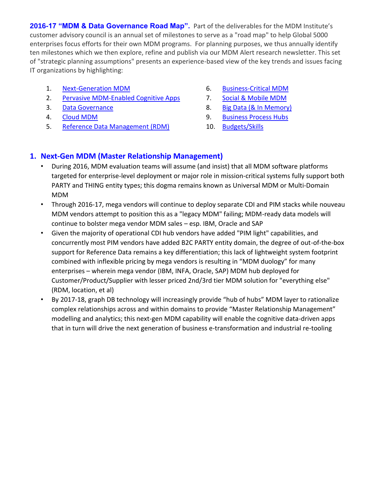2016-17 "MDM & Data Governance Road Map". Part of the deliverables for the MDM Institute's customer advisory council is an annual set of milestones to serve as a "road map" to help Global 5000 enterprises focus efforts for their own MDM programs. For planning purposes, we thus annually identify ten milestones which we then explore, refine and publish via our MDM Alert research newsletter. This set of "strategic planning assumptions" presents an experience-based view of the key trends and issues facing IT organizations by highlighting:

- 1. [Next-Generation](#page-1-0) MDM
- 2. [Pervasive MDM-Enabled Cognitive Apps](#page-2-0)
- 3. [Data Governance](#page-2-1)
- 4. [Cloud MDM](#page-2-2)
- 5. [Reference Data Management \(RDM\)](#page-2-3)
- 6. [Business-Critical MDM](#page-3-0)
- 7. [Social & Mobile MDM](#page-3-1)
- 8. [Big Data \(& In Memory\)](#page-4-0)
- 9. [Business Process Hubs](#page-4-1)
- 10. [Budgets/Skills](#page-4-2)

## <span id="page-1-0"></span>**1. Next-Gen MDM (Master Relationship Management)**

- During 2016, MDM evaluation teams will assume (and insist) that all MDM software platforms targeted for enterprise-level deployment or major role in mission-critical systems fully support both PARTY and THING entity types; this dogma remains known as Universal MDM or Multi-Domain MDM
- Through 2016-17, mega vendors will continue to deploy separate CDI and PIM stacks while nouveau MDM vendors attempt to position this as a "legacy MDM" failing; MDM-ready data models will continue to bolster mega vendor MDM sales – esp. IBM, Oracle and SAP
- Given the majority of operational CDI hub vendors have added "PIM light" capabilities, and concurrently most PIM vendors have added B2C PARTY entity domain, the degree of out-of-the-box support for Reference Data remains a key differentiation; this lack of lightweight system footprint combined with inflexible pricing by mega vendors is resulting in "MDM duology" for many enterprises – wherein mega vendor (IBM, INFA, Oracle, SAP) MDM hub deployed for Customer/Product/Supplier with lesser priced 2nd/3rd tier MDM solution for "everything else" (RDM, location, et al)
- By 2017-18, graph DB technology will increasingly provide "hub of hubs" MDM layer to rationalize complex relationships across and within domains to provide "Master Relationship Management" modelling and analytics; this next-gen MDM capability will enable the cognitive data-driven apps that in turn will drive the next generation of business e-transformation and industrial re-tooling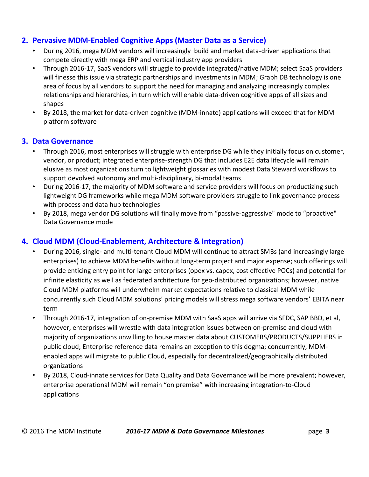#### <span id="page-2-0"></span>**2. Pervasive MDM-Enabled Cognitive Apps (Master Data as a Service)**

- During 2016, mega MDM vendors will increasingly build and market data-driven applications that compete directly with mega ERP and vertical industry app providers
- Through 2016-17, SaaS vendors will struggle to provide integrated/native MDM; select SaaS providers will finesse this issue via strategic partnerships and investments in MDM; Graph DB technology is one area of focus by all vendors to support the need for managing and analyzing increasingly complex relationships and hierarchies, in turn which will enable data-driven cognitive apps of all sizes and shapes
- By 2018, the market for data-driven cognitive (MDM-innate) applications will exceed that for MDM platform software

#### <span id="page-2-1"></span>**3. Data Governance**

- Through 2016, most enterprises will struggle with enterprise DG while they initially focus on customer, vendor, or product; integrated enterprise-strength DG that includes E2E data lifecycle will remain elusive as most organizations turn to lightweight glossaries with modest Data Steward workflows to support devolved autonomy and multi-disciplinary, bi-modal teams
- During 2016-17, the majority of MDM software and service providers will focus on productizing such lightweight DG frameworks while mega MDM software providers struggle to link governance process with process and data hub technologies
- By 2018, mega vendor DG solutions will finally move from "passive-aggressive" mode to "proactive" Data Governance mode

#### <span id="page-2-2"></span>**4. Cloud MDM (Cloud-Enablement, Architecture & Integration)**

- During 2016, single- and multi-tenant Cloud MDM will continue to attract SMBs (and increasingly large enterprises) to achieve MDM benefits without long-term project and major expense; such offerings will provide enticing entry point for large enterprises (opex vs. capex, cost effective POCs) and potential for infinite elasticity as well as federated architecture for geo-distributed organizations; however, native Cloud MDM platforms will underwhelm market expectations relative to classical MDM while concurrently such Cloud MDM solutions' pricing models will stress mega software vendors' EBITA near term
- Through 2016-17, integration of on-premise MDM with SaaS apps will arrive via SFDC, SAP BBD, et al, however, enterprises will wrestle with data integration issues between on-premise and cloud with majority of organizations unwilling to house master data about CUSTOMERS/PRODUCTS/SUPPLIERS in public cloud; Enterprise reference data remains an exception to this dogma; concurrently, MDMenabled apps will migrate to public Cloud, especially for decentralized/geographically distributed organizations
- <span id="page-2-3"></span>• By 2018, Cloud-innate services for Data Quality and Data Governance will be more prevalent; however, enterprise operational MDM will remain "on premise" with increasing integration-to-Cloud applications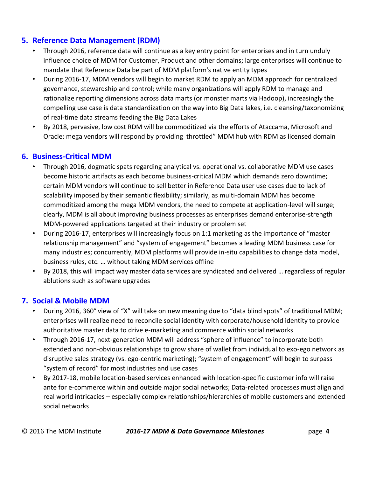### **5. Reference Data Management (RDM)**

- Through 2016, reference data will continue as a key entry point for enterprises and in turn unduly influence choice of MDM for Customer, Product and other domains; large enterprises will continue to mandate that Reference Data be part of MDM platform's native entity types
- During 2016-17, MDM vendors will begin to market RDM to apply an MDM approach for centralized governance, stewardship and control; while many organizations will apply RDM to manage and rationalize reporting dimensions across data marts (or monster marts via Hadoop), increasingly the compelling use case is data standardization on the way into Big Data lakes, i.e. cleansing/taxonomizing of real-time data streams feeding the Big Data Lakes
- By 2018, pervasive, low cost RDM will be commoditized via the efforts of Ataccama, Microsoft and Oracle; mega vendors will respond by providing throttled" MDM hub with RDM as licensed domain

#### <span id="page-3-0"></span>**6. Business-Critical MDM**

- Through 2016, dogmatic spats regarding analytical vs. operational vs. collaborative MDM use cases become historic artifacts as each become business-critical MDM which demands zero downtime; certain MDM vendors will continue to sell better in Reference Data user use cases due to lack of scalability imposed by their semantic flexibility; similarly, as multi-domain MDM has become commoditized among the mega MDM vendors, the need to compete at application-level will surge; clearly, MDM is all about improving business processes as enterprises demand enterprise-strength MDM-powered applications targeted at their industry or problem set
- During 2016-17, enterprises will increasingly focus on 1:1 marketing as the importance of "master relationship management" and "system of engagement" becomes a leading MDM business case for many industries; concurrently, MDM platforms will provide in-situ capabilities to change data model, business rules, etc. … without taking MDM services offline
- By 2018, this will impact way master data services are syndicated and delivered … regardless of regular ablutions such as software upgrades

#### <span id="page-3-1"></span>**7. Social & Mobile MDM**

- During 2016, 360° view of "X" will take on new meaning due to "data blind spots" of traditional MDM; enterprises will realize need to reconcile social identity with corporate/household identity to provide authoritative master data to drive e-marketing and commerce within social networks
- Through 2016-17, next-generation MDM will address "sphere of influence" to incorporate both extended and non-obvious relationships to grow share of wallet from individual to exo-ego network as disruptive sales strategy (vs. ego-centric marketing); "system of engagement" will begin to surpass "system of record" for most industries and use cases
- By 2017-18, mobile location-based services enhanced with location-specific customer info will raise ante for e-commerce within and outside major social networks; Data-related processes must align and real world intricacies – especially complex relationships/hierarchies of mobile customers and extended social networks